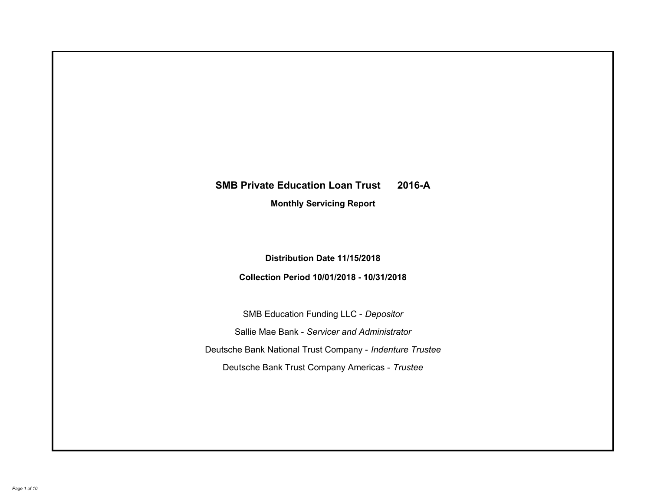# **SMB Private Education Loan Trust 2016-A Monthly Servicing Report**

# **Distribution Date 11/15/2018**

# **Collection Period 10/01/2018 - 10/31/2018**

SMB Education Funding LLC - *Depositor* Sallie Mae Bank - *Servicer and Administrator* Deutsche Bank National Trust Company - *Indenture Trustee* Deutsche Bank Trust Company Americas - *Trustee*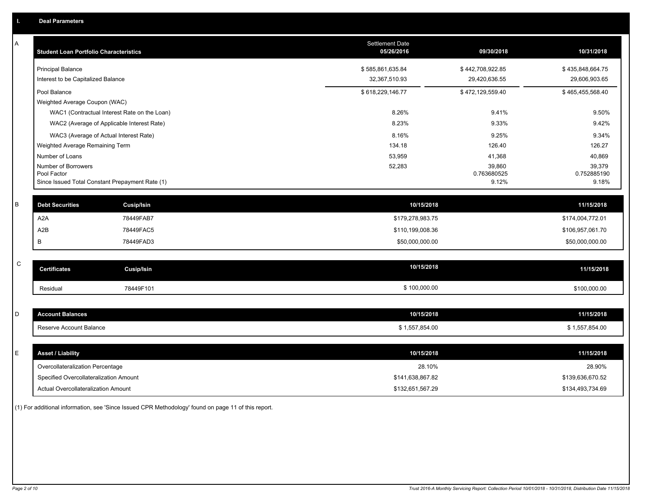| Α           | <b>Student Loan Portfolio Characteristics</b>                  | <b>Settlement Date</b><br>05/26/2016 | 09/30/2018           | 10/31/2018           |
|-------------|----------------------------------------------------------------|--------------------------------------|----------------------|----------------------|
|             | <b>Principal Balance</b>                                       | \$585,861,635.84                     | \$442,708,922.85     | \$435,848,664.75     |
|             | Interest to be Capitalized Balance                             | 32,367,510.93                        | 29,420,636.55        | 29,606,903.65        |
|             | Pool Balance                                                   | \$618,229,146.77                     | \$472,129,559.40     | \$465,455,568.40     |
|             | Weighted Average Coupon (WAC)                                  |                                      |                      |                      |
|             | WAC1 (Contractual Interest Rate on the Loan)                   | 8.26%                                | 9.41%                | 9.50%                |
|             | WAC2 (Average of Applicable Interest Rate)                     | 8.23%                                | 9.33%                | 9.42%                |
|             | WAC3 (Average of Actual Interest Rate)                         | 8.16%                                | 9.25%                | 9.34%                |
|             | Weighted Average Remaining Term                                | 134.18                               | 126.40               | 126.27               |
|             | Number of Loans                                                | 53,959                               | 41,368               | 40,869               |
|             | Number of Borrowers                                            | 52,283                               | 39,860               | 39,379               |
|             | Pool Factor<br>Since Issued Total Constant Prepayment Rate (1) |                                      | 0.763680525<br>9.12% | 0.752885190<br>9.18% |
|             |                                                                |                                      |                      |                      |
| B           | <b>Debt Securities</b><br>Cusip/Isin                           | 10/15/2018                           |                      | 11/15/2018           |
|             | A <sub>2</sub> A<br>78449FAB7                                  | \$179,278,983.75                     |                      | \$174,004,772.01     |
|             | A2B<br>78449FAC5                                               | \$110,199,008.36                     |                      | \$106,957,061.70     |
|             | 78449FAD3<br>B                                                 | \$50,000,000.00                      |                      | \$50,000,000.00      |
|             |                                                                |                                      |                      |                      |
| $\mathbf C$ | <b>Certificates</b><br><b>Cusip/Isin</b>                       | 10/15/2018                           |                      | 11/15/2018           |
|             | 78449F101<br>Residual                                          | \$100,000.00                         |                      | \$100,000.00         |
|             |                                                                |                                      |                      |                      |
| D           | <b>Account Balances</b>                                        | 10/15/2018                           |                      | 11/15/2018           |
|             | Reserve Account Balance                                        | \$1,557,854.00                       |                      | \$1,557,854.00       |
|             |                                                                |                                      |                      |                      |
| E           | <b>Asset / Liability</b>                                       | 10/15/2018                           |                      | 11/15/2018           |
|             | Overcollateralization Percentage                               | 28.10%                               |                      | 28.90%               |
|             | Specified Overcollateralization Amount                         | \$141,638,867.82                     |                      | \$139,636,670.52     |
|             | Actual Overcollateralization Amount                            | \$132,651,567.29                     |                      | \$134,493,734.69     |

(1) For additional information, see 'Since Issued CPR Methodology' found on page 11 of this report.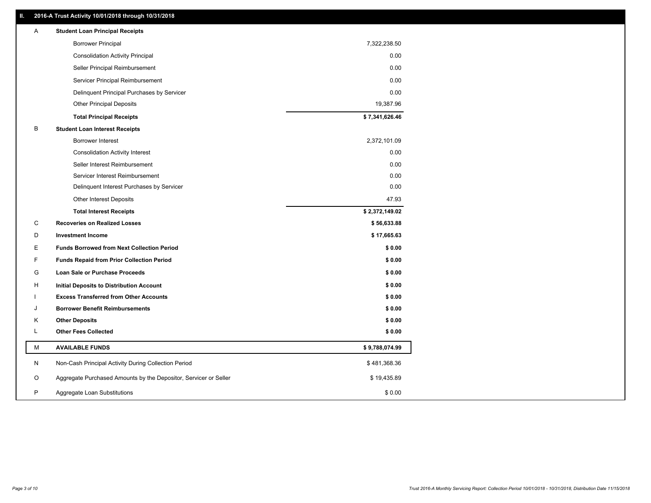# **II. 2016-A Trust Activity 10/01/2018 through 10/31/2018**

| Α | <b>Student Loan Principal Receipts</b>                           |                |  |
|---|------------------------------------------------------------------|----------------|--|
|   | <b>Borrower Principal</b>                                        | 7,322,238.50   |  |
|   | <b>Consolidation Activity Principal</b>                          | 0.00           |  |
|   | Seller Principal Reimbursement                                   | 0.00           |  |
|   | Servicer Principal Reimbursement                                 | 0.00           |  |
|   | Delinquent Principal Purchases by Servicer                       | 0.00           |  |
|   | <b>Other Principal Deposits</b>                                  | 19,387.96      |  |
|   | <b>Total Principal Receipts</b>                                  | \$7,341,626.46 |  |
| В | <b>Student Loan Interest Receipts</b>                            |                |  |
|   | Borrower Interest                                                | 2,372,101.09   |  |
|   | <b>Consolidation Activity Interest</b>                           | 0.00           |  |
|   | Seller Interest Reimbursement                                    | 0.00           |  |
|   | Servicer Interest Reimbursement                                  | 0.00           |  |
|   | Delinquent Interest Purchases by Servicer                        | 0.00           |  |
|   | Other Interest Deposits                                          | 47.93          |  |
|   | <b>Total Interest Receipts</b>                                   | \$2,372,149.02 |  |
| С | <b>Recoveries on Realized Losses</b>                             | \$56,633.88    |  |
| D | <b>Investment Income</b>                                         | \$17,665.63    |  |
| Е | <b>Funds Borrowed from Next Collection Period</b>                | \$0.00         |  |
| F | <b>Funds Repaid from Prior Collection Period</b>                 | \$0.00         |  |
| G | Loan Sale or Purchase Proceeds                                   | \$0.00         |  |
| н | Initial Deposits to Distribution Account                         | \$0.00         |  |
|   | <b>Excess Transferred from Other Accounts</b>                    | \$0.00         |  |
| J | <b>Borrower Benefit Reimbursements</b>                           | \$0.00         |  |
| Κ | <b>Other Deposits</b>                                            | \$0.00         |  |
| L | <b>Other Fees Collected</b>                                      | \$0.00         |  |
| М | <b>AVAILABLE FUNDS</b>                                           | \$9,788,074.99 |  |
| N | Non-Cash Principal Activity During Collection Period             | \$481,368.36   |  |
| O | Aggregate Purchased Amounts by the Depositor, Servicer or Seller | \$19,435.89    |  |
| P | Aggregate Loan Substitutions                                     | \$0.00         |  |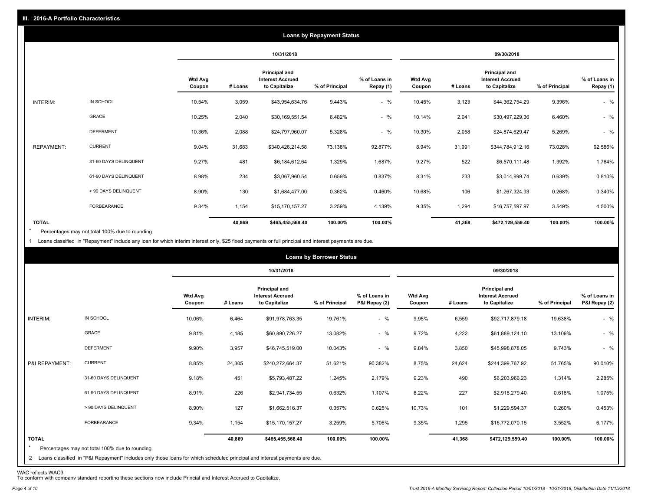|                   |                       |                          |         |                                                           | <b>Loans by Repayment Status</b> |                            |                          |         |                                                                  |                |                            |
|-------------------|-----------------------|--------------------------|---------|-----------------------------------------------------------|----------------------------------|----------------------------|--------------------------|---------|------------------------------------------------------------------|----------------|----------------------------|
|                   |                       |                          |         | 10/31/2018                                                |                                  |                            |                          |         | 09/30/2018                                                       |                |                            |
|                   |                       | <b>Wtd Avg</b><br>Coupon | # Loans | Principal and<br><b>Interest Accrued</b><br>to Capitalize | % of Principal                   | % of Loans in<br>Repay (1) | <b>Wtd Avg</b><br>Coupon | # Loans | <b>Principal and</b><br><b>Interest Accrued</b><br>to Capitalize | % of Principal | % of Loans in<br>Repay (1) |
| INTERIM:          | IN SCHOOL             | 10.54%                   | 3,059   | \$43,954,634.76                                           | 9.443%                           | $-$ %                      | 10.45%                   | 3,123   | \$44,362,754.29                                                  | 9.396%         | $-$ %                      |
|                   | GRACE                 | 10.25%                   | 2,040   | \$30,169,551.54                                           | 6.482%                           | $-$ %                      | 10.14%                   | 2,041   | \$30,497,229.36                                                  | 6.460%         | $-$ %                      |
|                   | <b>DEFERMENT</b>      | 10.36%                   | 2,088   | \$24,797,960.07                                           | 5.328%                           | $-$ %                      | 10.30%                   | 2,058   | \$24,874,629.47                                                  | 5.269%         | $-$ %                      |
| <b>REPAYMENT:</b> | <b>CURRENT</b>        | 9.04%                    | 31,683  | \$340,426,214.58                                          | 73.138%                          | 92.877%                    | 8.94%                    | 31,991  | \$344,784,912.16                                                 | 73.028%        | 92.586%                    |
|                   | 31-60 DAYS DELINQUENT | 9.27%                    | 481     | \$6,184,612.64                                            | 1.329%                           | 1.687%                     | 9.27%                    | 522     | \$6,570,111.48                                                   | 1.392%         | 1.764%                     |
|                   | 61-90 DAYS DELINQUENT | 8.98%                    | 234     | \$3,067,960.54                                            | 0.659%                           | 0.837%                     | 8.31%                    | 233     | \$3,014,999.74                                                   | 0.639%         | 0.810%                     |
|                   | > 90 DAYS DELINQUENT  | 8.90%                    | 130     | \$1,684,477.00                                            | 0.362%                           | 0.460%                     | 10.68%                   | 106     | \$1,267,324.93                                                   | 0.268%         | 0.340%                     |
|                   | FORBEARANCE           | 9.34%                    | 1,154   | \$15,170,157.27                                           | 3.259%                           | 4.139%                     | 9.35%                    | 1,294   | \$16,757,597.97                                                  | 3.549%         | 4.500%                     |
| <b>TOTAL</b>      |                       |                          | 40,869  | \$465,455,568.40                                          | 100.00%                          | 100.00%                    |                          | 41,368  | \$472,129,559.40                                                 | 100.00%        | 100.00%                    |

Percentages may not total 100% due to rounding \*

1 Loans classified in "Repayment" include any loan for which interim interest only, \$25 fixed payments or full principal and interest payments are due.

|                         |                                                                                                                                                                                |                          |         |                                                           | <b>Loans by Borrower Status</b> |                                |                   |         |                                                                  |                |                                |
|-------------------------|--------------------------------------------------------------------------------------------------------------------------------------------------------------------------------|--------------------------|---------|-----------------------------------------------------------|---------------------------------|--------------------------------|-------------------|---------|------------------------------------------------------------------|----------------|--------------------------------|
|                         |                                                                                                                                                                                |                          |         | 10/31/2018                                                |                                 |                                |                   |         | 09/30/2018                                                       |                |                                |
|                         |                                                                                                                                                                                | <b>Wtd Avg</b><br>Coupon | # Loans | Principal and<br><b>Interest Accrued</b><br>to Capitalize | % of Principal                  | % of Loans in<br>P&I Repay (2) | Wtd Avg<br>Coupon | # Loans | <b>Principal and</b><br><b>Interest Accrued</b><br>to Capitalize | % of Principal | % of Loans in<br>P&I Repay (2) |
| INTERIM:                | IN SCHOOL                                                                                                                                                                      | 10.06%                   | 6,464   | \$91,978,763.35                                           | 19.761%                         | $-$ %                          | 9.95%             | 6,559   | \$92,717,879.18                                                  | 19.638%        | $-$ %                          |
|                         | GRACE                                                                                                                                                                          | 9.81%                    | 4,185   | \$60,890,726.27                                           | 13.082%                         | $-$ %                          | 9.72%             | 4,222   | \$61,889,124.10                                                  | 13.109%        | $-$ %                          |
|                         | <b>DEFERMENT</b>                                                                                                                                                               | 9.90%                    | 3,957   | \$46,745,519.00                                           | 10.043%                         | $-$ %                          | 9.84%             | 3,850   | \$45,998,878.05                                                  | 9.743%         | $-$ %                          |
| P&I REPAYMENT:          | <b>CURRENT</b>                                                                                                                                                                 | 8.85%                    | 24,305  | \$240,272,664.37                                          | 51.621%                         | 90.382%                        | 8.75%             | 24,624  | \$244,399,767.92                                                 | 51.765%        | 90.010%                        |
|                         | 31-60 DAYS DELINQUENT                                                                                                                                                          | 9.18%                    | 451     | \$5,793,487.22                                            | 1.245%                          | 2.179%                         | 9.23%             | 490     | \$6,203,966.23                                                   | 1.314%         | 2.285%                         |
|                         | 61-90 DAYS DELINQUENT                                                                                                                                                          | 8.91%                    | 226     | \$2,941,734.55                                            | 0.632%                          | 1.107%                         | 8.22%             | 227     | \$2,918,279.40                                                   | 0.618%         | 1.075%                         |
|                         | > 90 DAYS DELINQUENT                                                                                                                                                           | 8.90%                    | 127     | \$1,662,516.37                                            | 0.357%                          | 0.625%                         | 10.73%            | 101     | \$1,229,594.37                                                   | 0.260%         | 0.453%                         |
|                         | FORBEARANCE                                                                                                                                                                    | 9.34%                    | 1,154   | \$15,170,157.27                                           | 3.259%                          | 5.706%                         | 9.35%             | 1,295   | \$16,772,070.15                                                  | 3.552%         | 6.177%                         |
| <b>TOTAL</b><br>$\star$ | Percentages may not total 100% due to rounding<br>2 Loans classified in "P&I Repayment" includes only those loans for which scheduled principal and interest payments are due. |                          | 40,869  | \$465,455,568.40                                          | 100.00%                         | 100.00%                        |                   | 41,368  | \$472,129,559.40                                                 | 100.00%        | 100.00%                        |

WAC reflects WAC3 To conform with company standard reporting these sections now include Princial and Interest Accrued to Capitalize.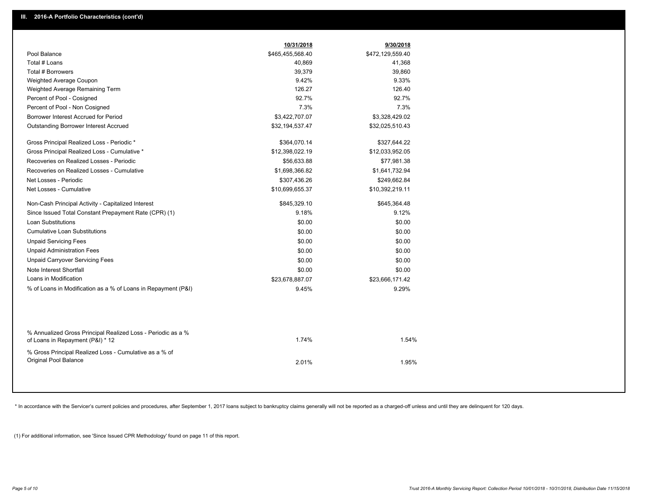|                                                                                                  | 10/31/2018       | 9/30/2018        |  |
|--------------------------------------------------------------------------------------------------|------------------|------------------|--|
| Pool Balance                                                                                     | \$465,455,568.40 | \$472,129,559.40 |  |
| Total # Loans                                                                                    | 40,869           | 41,368           |  |
| Total # Borrowers                                                                                | 39,379           | 39,860           |  |
| Weighted Average Coupon                                                                          | 9.42%            | 9.33%            |  |
| Weighted Average Remaining Term                                                                  | 126.27           | 126.40           |  |
| Percent of Pool - Cosigned                                                                       | 92.7%            | 92.7%            |  |
| Percent of Pool - Non Cosigned                                                                   | 7.3%             | 7.3%             |  |
| Borrower Interest Accrued for Period                                                             | \$3,422,707.07   | \$3,328,429.02   |  |
| <b>Outstanding Borrower Interest Accrued</b>                                                     | \$32,194,537.47  | \$32,025,510.43  |  |
| Gross Principal Realized Loss - Periodic *                                                       | \$364,070.14     | \$327,644.22     |  |
| Gross Principal Realized Loss - Cumulative *                                                     | \$12,398,022.19  | \$12,033,952.05  |  |
| Recoveries on Realized Losses - Periodic                                                         | \$56,633.88      | \$77,981.38      |  |
| Recoveries on Realized Losses - Cumulative                                                       | \$1,698,366.82   | \$1,641,732.94   |  |
| Net Losses - Periodic                                                                            | \$307,436.26     | \$249,662.84     |  |
| Net Losses - Cumulative                                                                          | \$10,699,655.37  | \$10,392,219.11  |  |
| Non-Cash Principal Activity - Capitalized Interest                                               | \$845,329.10     | \$645,364.48     |  |
| Since Issued Total Constant Prepayment Rate (CPR) (1)                                            | 9.18%            | 9.12%            |  |
| <b>Loan Substitutions</b>                                                                        | \$0.00           | \$0.00           |  |
| <b>Cumulative Loan Substitutions</b>                                                             | \$0.00           | \$0.00           |  |
| <b>Unpaid Servicing Fees</b>                                                                     | \$0.00           | \$0.00           |  |
| <b>Unpaid Administration Fees</b>                                                                | \$0.00           | \$0.00           |  |
| <b>Unpaid Carryover Servicing Fees</b>                                                           | \$0.00           | \$0.00           |  |
| Note Interest Shortfall                                                                          | \$0.00           | \$0.00           |  |
| Loans in Modification                                                                            | \$23,678,887.07  | \$23,666,171.42  |  |
| % of Loans in Modification as a % of Loans in Repayment (P&I)                                    | 9.45%            | 9.29%            |  |
|                                                                                                  |                  |                  |  |
| % Annualized Gross Principal Realized Loss - Periodic as a %<br>of Loans in Repayment (P&I) * 12 | 1.74%            | 1.54%            |  |
| % Gross Principal Realized Loss - Cumulative as a % of<br>Original Pool Balance                  | 2.01%            | 1.95%            |  |

\* In accordance with the Servicer's current policies and procedures, after September 1, 2017 loans subject to bankruptcy claims generally will not be reported as a charged-off unless and until they are delinquent for 120 d

(1) For additional information, see 'Since Issued CPR Methodology' found on page 11 of this report.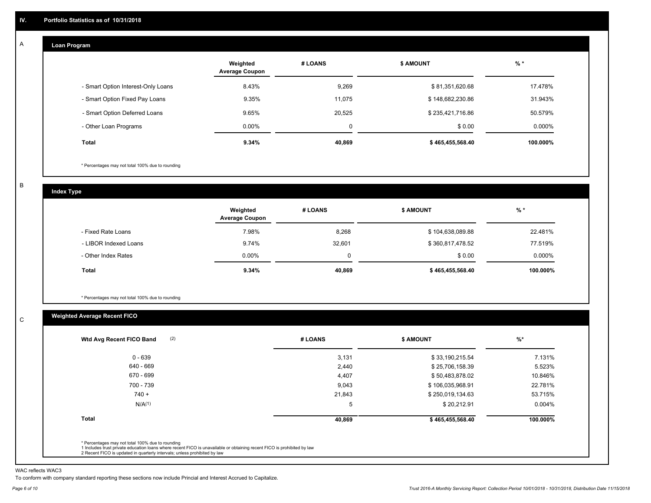#### **Loan Program**  A

|                                    | Weighted<br><b>Average Coupon</b> | # LOANS | <b>\$ AMOUNT</b> | % *       |
|------------------------------------|-----------------------------------|---------|------------------|-----------|
| - Smart Option Interest-Only Loans | 8.43%                             | 9,269   | \$81,351,620.68  | 17.478%   |
| - Smart Option Fixed Pay Loans     | 9.35%                             | 11.075  | \$148,682,230.86 | 31.943%   |
| - Smart Option Deferred Loans      | 9.65%                             | 20.525  | \$235,421,716.86 | 50.579%   |
| - Other Loan Programs              | $0.00\%$                          | 0       | \$0.00           | $0.000\%$ |
| <b>Total</b>                       | 9.34%                             | 40,869  | \$465,455,568.40 | 100.000%  |

\* Percentages may not total 100% due to rounding

B

C

**Index Type**

|                       | Weighted<br><b>Average Coupon</b> | # LOANS | <b>\$ AMOUNT</b> | % *      |
|-----------------------|-----------------------------------|---------|------------------|----------|
| - Fixed Rate Loans    | 7.98%                             | 8,268   | \$104,638,089.88 | 22.481%  |
| - LIBOR Indexed Loans | 9.74%                             | 32,601  | \$360,817,478.52 | 77.519%  |
| - Other Index Rates   | $0.00\%$                          |         | \$0.00           | 0.000%   |
| Total                 | 9.34%                             | 40,869  | \$465,455,568.40 | 100.000% |

\* Percentages may not total 100% due to rounding

# **Weighted Average Recent FICO**

| $0 - 639$<br>640 - 669<br>670 - 699 | 3,131<br>2,440<br>4,407 | \$33,190,215.54<br>\$25,706,158.39 | 7.131%<br>5.523% |
|-------------------------------------|-------------------------|------------------------------------|------------------|
|                                     |                         |                                    |                  |
|                                     |                         |                                    |                  |
|                                     |                         | \$50,483,878.02                    | 10.846%          |
| 700 - 739                           | 9,043                   | \$106,035,968.91                   | 22.781%          |
| $740 +$                             | 21,843                  | \$250,019,134.63                   | 53.715%          |
| N/A <sup>(1)</sup>                  | 5                       | \$20,212.91                        | $0.004\%$        |
| <b>Total</b>                        | 40,869                  | \$465,455,568.40                   | 100.000%         |

WAC reflects WAC3

To conform with company standard reporting these sections now include Princial and Interest Accrued to Capitalize.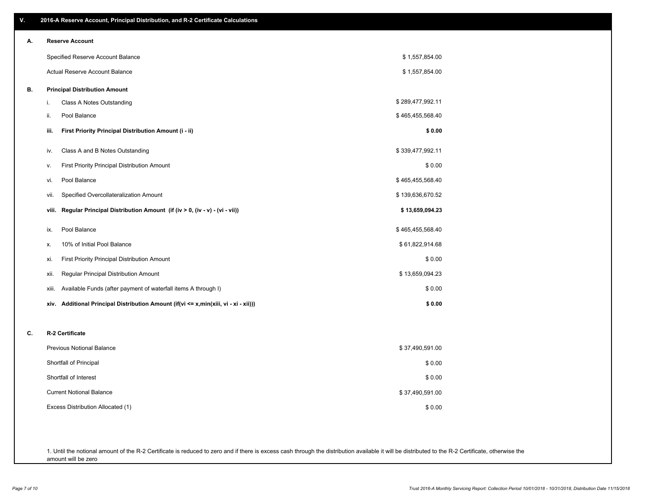| V. | 2016-A Reserve Account, Principal Distribution, and R-2 Certificate Calculations     |                  |  |
|----|--------------------------------------------------------------------------------------|------------------|--|
| А. | <b>Reserve Account</b>                                                               |                  |  |
|    | Specified Reserve Account Balance                                                    | \$1,557,854.00   |  |
|    | Actual Reserve Account Balance                                                       | \$1,557,854.00   |  |
| В. | <b>Principal Distribution Amount</b>                                                 |                  |  |
|    | i.<br>Class A Notes Outstanding                                                      | \$289,477,992.11 |  |
|    | Pool Balance<br>ii.                                                                  | \$465,455,568.40 |  |
|    | First Priority Principal Distribution Amount (i - ii)<br>iii.                        | \$0.00           |  |
|    | Class A and B Notes Outstanding<br>iv.                                               | \$339,477,992.11 |  |
|    | First Priority Principal Distribution Amount<br>۷.                                   | \$0.00           |  |
|    | Pool Balance<br>vi.                                                                  | \$465,455,568.40 |  |
|    | Specified Overcollateralization Amount<br>vii.                                       | \$139,636,670.52 |  |
|    | Regular Principal Distribution Amount (if (iv > 0, (iv - v) - (vi - vii))<br>viii.   | \$13,659,094.23  |  |
|    | Pool Balance<br>ix.                                                                  | \$465,455,568.40 |  |
|    | 10% of Initial Pool Balance<br>Х.                                                    | \$61,822,914.68  |  |
|    | First Priority Principal Distribution Amount<br>xi.                                  | \$0.00           |  |
|    | Regular Principal Distribution Amount<br>xii.                                        | \$13,659,094.23  |  |
|    | Available Funds (after payment of waterfall items A through I)<br>xiii.              | \$0.00           |  |
|    | xiv. Additional Principal Distribution Amount (if(vi <= x,min(xiii, vi - xi - xii))) | \$0.00           |  |
| C. | R-2 Certificate                                                                      |                  |  |
|    | <b>Previous Notional Balance</b>                                                     | \$37,490,591.00  |  |
|    | Shortfall of Principal                                                               | \$0.00           |  |
|    | Shortfall of Interest                                                                | \$0.00           |  |
|    | <b>Current Notional Balance</b>                                                      | \$37,490,591.00  |  |
|    | Excess Distribution Allocated (1)                                                    | \$0.00           |  |
|    |                                                                                      |                  |  |
|    |                                                                                      |                  |  |

1. Until the notional amount of the R-2 Certificate is reduced to zero and if there is excess cash through the distribution available it will be distributed to the R-2 Certificate, otherwise the amount will be zero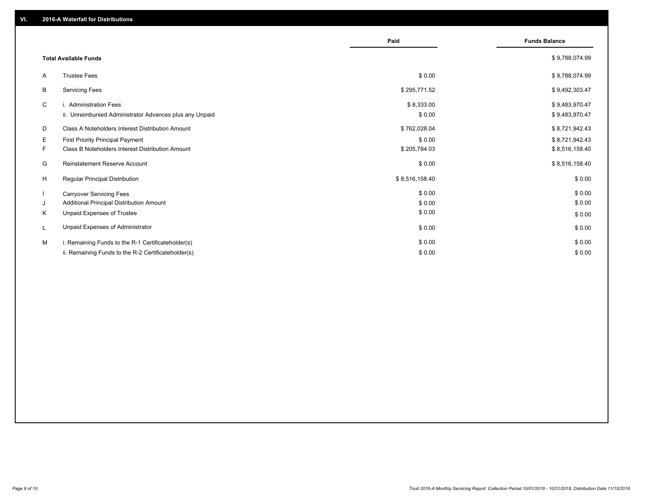|                                            |                                                         | Paid           | <b>Funds Balance</b> |
|--------------------------------------------|---------------------------------------------------------|----------------|----------------------|
| <b>Total Available Funds</b>               |                                                         |                | \$9,788,074.99       |
| <b>Trustee Fees</b><br>A                   |                                                         | \$0.00         | \$9,788,074.99       |
| <b>Servicing Fees</b><br>В                 |                                                         | \$295,771.52   | \$9,492,303.47       |
| C<br>i. Administration Fees                |                                                         | \$8,333.00     | \$9,483,970.47       |
|                                            | ii. Unreimbursed Administrator Advances plus any Unpaid | \$0.00         | \$9,483,970.47       |
| D                                          | Class A Noteholders Interest Distribution Amount        | \$762,028.04   | \$8,721,942.43       |
| Е                                          | <b>First Priority Principal Payment</b>                 | \$0.00         | \$8,721,942.43       |
| F.                                         | Class B Noteholders Interest Distribution Amount        | \$205,784.03   | \$8,516,158.40       |
| G                                          | Reinstatement Reserve Account                           | \$0.00         | \$8,516,158.40       |
| H<br><b>Regular Principal Distribution</b> |                                                         | \$8,516,158.40 | \$0.00               |
| <b>Carryover Servicing Fees</b>            |                                                         | \$0.00         | \$0.00               |
| J                                          | Additional Principal Distribution Amount                | \$0.00         | \$0.00               |
| K<br>Unpaid Expenses of Trustee            |                                                         | \$0.00         | \$0.00               |
| L                                          | Unpaid Expenses of Administrator                        | \$0.00         | \$0.00               |
| M                                          | i. Remaining Funds to the R-1 Certificateholder(s)      | \$0.00         | \$0.00               |
|                                            | ii. Remaining Funds to the R-2 Certificateholder(s)     | \$0.00         | \$0.00               |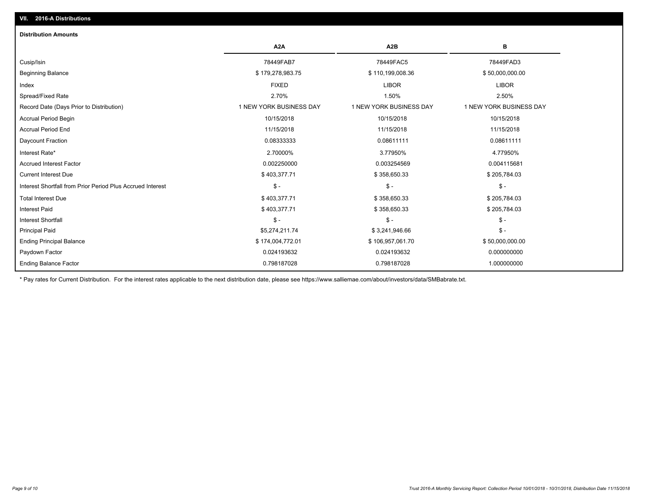| <b>Distribution Amounts</b>                                |                         |                         |                         |
|------------------------------------------------------------|-------------------------|-------------------------|-------------------------|
|                                                            | A <sub>2</sub> A        | A <sub>2</sub> B        | В                       |
| Cusip/Isin                                                 | 78449FAB7               | 78449FAC5               | 78449FAD3               |
| <b>Beginning Balance</b>                                   | \$179,278,983.75        | \$110,199,008.36        | \$50,000,000.00         |
| Index                                                      | <b>FIXED</b>            | <b>LIBOR</b>            | <b>LIBOR</b>            |
| Spread/Fixed Rate                                          | 2.70%                   | 1.50%                   | 2.50%                   |
| Record Date (Days Prior to Distribution)                   | 1 NEW YORK BUSINESS DAY | 1 NEW YORK BUSINESS DAY | 1 NEW YORK BUSINESS DAY |
| <b>Accrual Period Begin</b>                                | 10/15/2018              | 10/15/2018              | 10/15/2018              |
| <b>Accrual Period End</b>                                  | 11/15/2018              | 11/15/2018              | 11/15/2018              |
| Daycount Fraction                                          | 0.08333333              | 0.08611111              | 0.08611111              |
| Interest Rate*                                             | 2.70000%                | 3.77950%                | 4.77950%                |
| <b>Accrued Interest Factor</b>                             | 0.002250000             | 0.003254569             | 0.004115681             |
| <b>Current Interest Due</b>                                | \$403,377.71            | \$358,650.33            | \$205,784.03            |
| Interest Shortfall from Prior Period Plus Accrued Interest | $\mathsf{\$}$ -         | $\mathsf{\$}$ -         | $$ -$                   |
| <b>Total Interest Due</b>                                  | \$403,377.71            | \$358,650.33            | \$205,784.03            |
| <b>Interest Paid</b>                                       | \$403,377.71            | \$358,650.33            | \$205,784.03            |
| <b>Interest Shortfall</b>                                  | $\mathsf{\$}$ -         | $\mathsf{\$}$ -         | $$ -$                   |
| <b>Principal Paid</b>                                      | \$5,274,211.74          | \$3,241,946.66          | $$ -$                   |
| <b>Ending Principal Balance</b>                            | \$174,004,772.01        | \$106,957,061.70        | \$50,000,000.00         |
| Paydown Factor                                             | 0.024193632             | 0.024193632             | 0.000000000             |
| <b>Ending Balance Factor</b>                               | 0.798187028             | 0.798187028             | 1.000000000             |

\* Pay rates for Current Distribution. For the interest rates applicable to the next distribution date, please see https://www.salliemae.com/about/investors/data/SMBabrate.txt.

**VII. 2016-A Distributions**